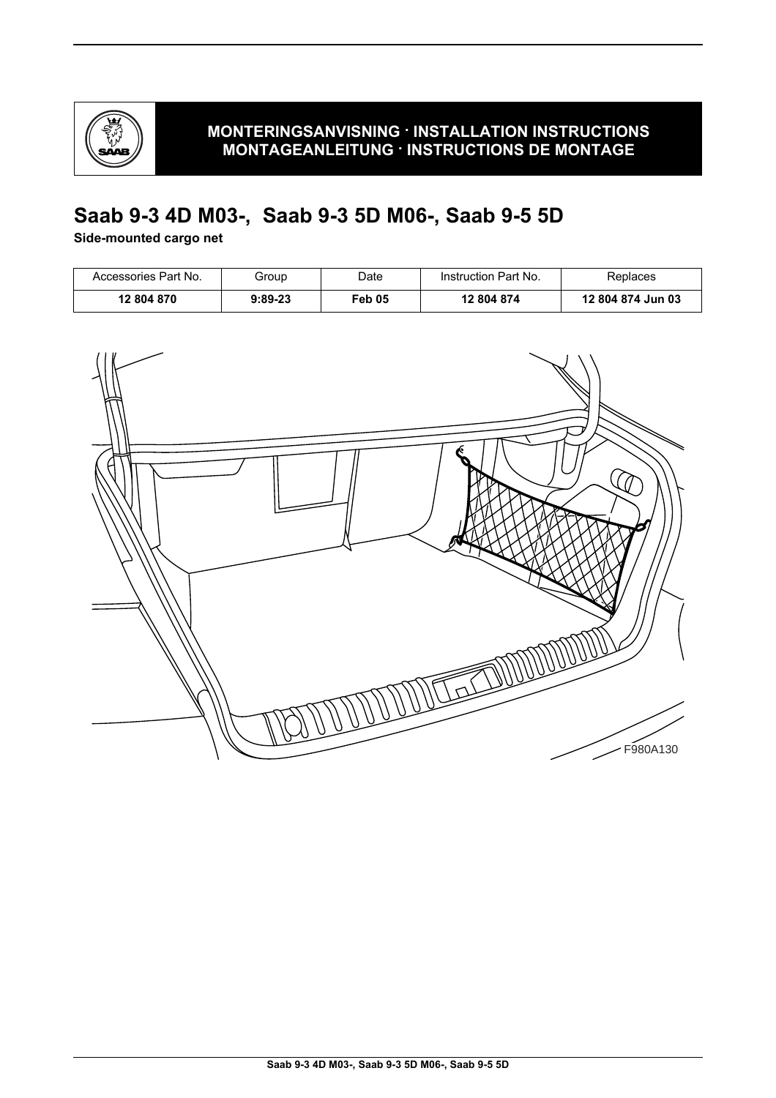

# **Saab 9-3 4D M03-, Saab 9-3 5D M06-, Saab 9-5 5D**

### **Side-mounted cargo net**

| Accessories Part No. | Group     | Date   | Instruction Part No. | Replaces          |
|----------------------|-----------|--------|----------------------|-------------------|
| 12 804 870           | $9:89-23$ | Feb 05 | 12 804 874           | 12 804 874 Jun 03 |

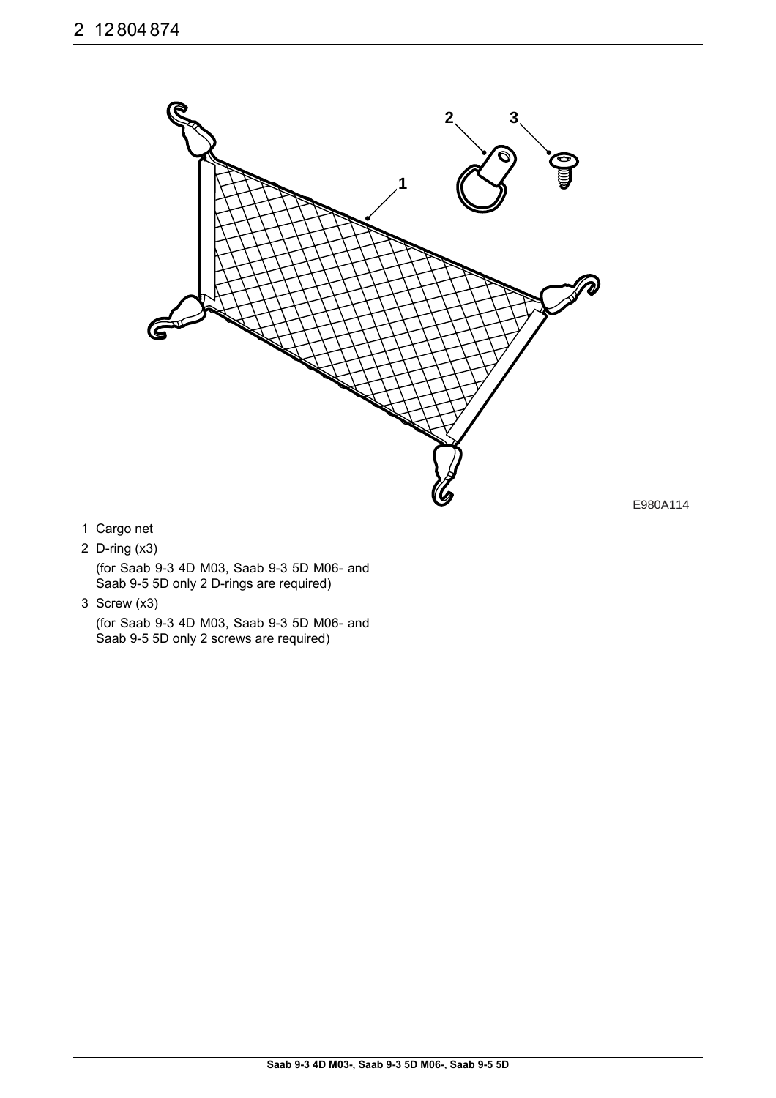

E980A114

- 1 Cargo net
- 2 D-ring (x3)

(for Saab 9-3 4D M03, Saab 9-3 5D M06- and Saab 9-5 5D only 2 D-rings are required)

3 Screw (x3)

(for Saab 9-3 4D M03, Saab 9-3 5D M06- and Saab 9-5 5D only 2 screws are required)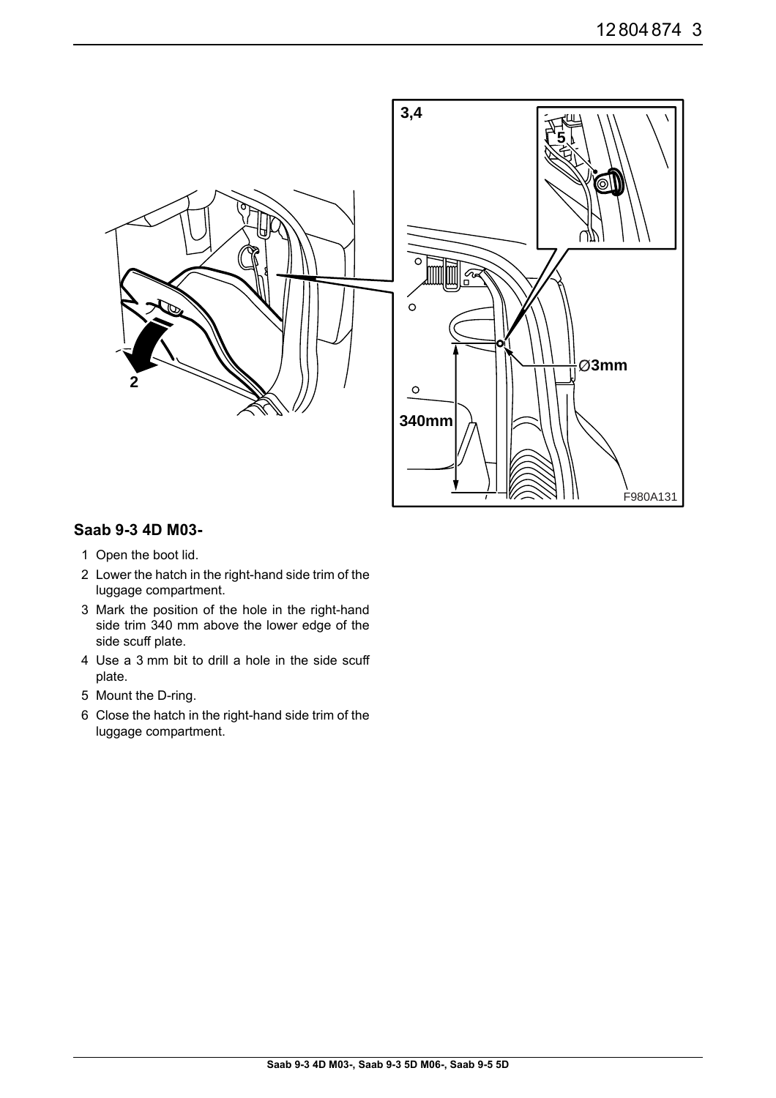

### **Saab 9-3 4D M03-**

- 1 Open the boot lid.
- 2 Lower the hatch in the right-hand side trim of the luggage compartment.
- 3 Mark the position of the hole in the right-hand side trim 340 mm above the lower edge of the side scuff plate.
- 4 Use a 3 mm bit to drill a hole in the side scuff plate.
- 5 Mount the D-ring.
- 6 Close the hatch in the right-hand side trim of the luggage compartment.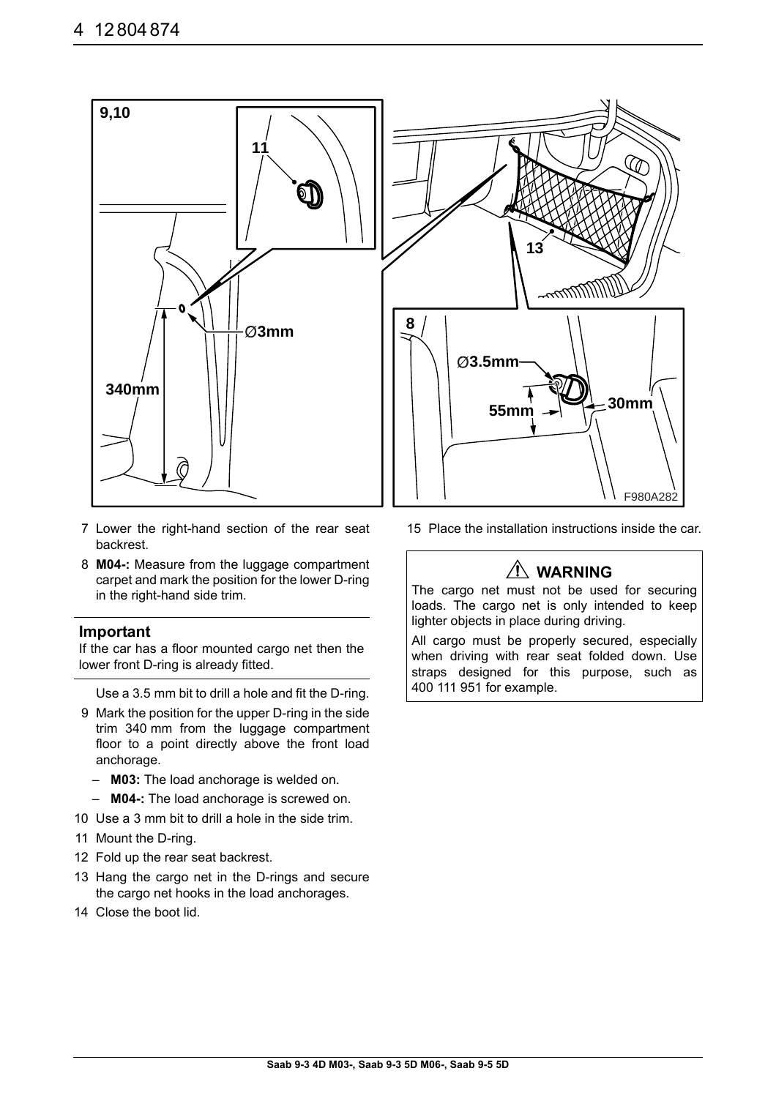

- 7 Lower the right-hand section of the rear seat backrest.
- 8 **M04-:** Measure from the luggage compartment carpet and mark the position for the lower D-ring in the right-hand side trim.

#### **Important**

If the car has a floor mounted cargo net then the lower front D-ring is already fitted.

Use a 3.5 mm bit to drill a hole and fit the D-ring.

- 9 Mark the position for the upper D-ring in the side trim 340 mm from the luggage compartment floor to a point directly above the front load anchorage.
	- **M03:** The load anchorage is welded on.
	- **M04-:** The load anchorage is screwed on.
- 10 Use a 3 mm bit to drill a hole in the side trim.
- 11 Mount the D-ring.
- 12 Fold up the rear seat backrest.
- 13 Hang the cargo net in the D-rings and secure the cargo net hooks in the load anchorages.
- 14 Close the boot lid.

15 Place the installation instructions inside the car.

## **WARNING**

The cargo net must not be used for securing loads. The cargo net is only intended to keep lighter objects in place during driving.

All cargo must be properly secured, especially when driving with rear seat folded down. Use straps designed for this purpose, such as 400 111 951 for example.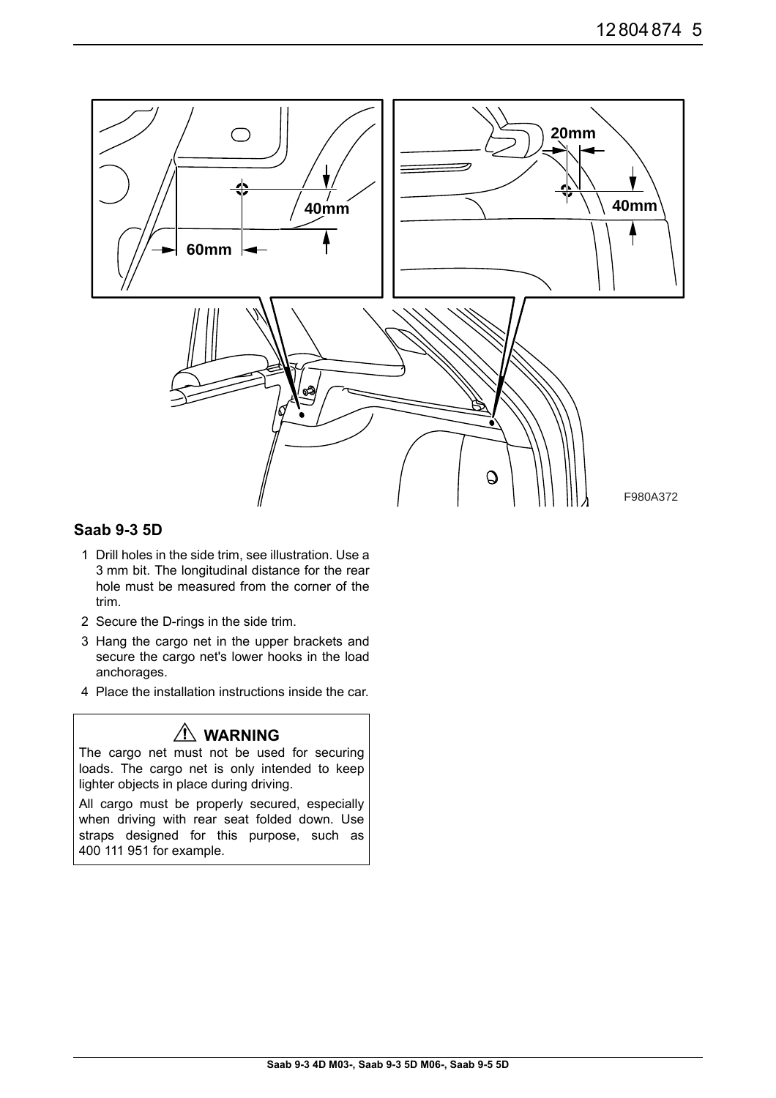

### **Saab 9-3 5D**

- 1 Drill holes in the side trim, see illustration. Use a 3 mm bit. The longitudinal distance for the rear hole must be measured from the corner of the trim.
- 2 Secure the D-rings in the side trim.
- 3 Hang the cargo net in the upper brackets and secure the cargo net's lower hooks in the load anchorages.
- 4 Place the installation instructions inside the car.

## **WARNING**

The cargo net must not be used for securing loads. The cargo net is only intended to keep lighter objects in place during driving.

All cargo must be properly secured, especially when driving with rear seat folded down. Use straps designed for this purpose, such as 400 111 951 for example.